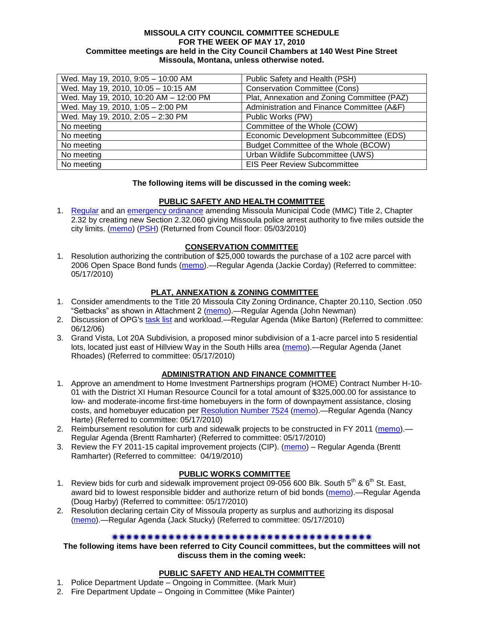#### **MISSOULA CITY COUNCIL COMMITTEE SCHEDULE FOR THE WEEK OF MAY 17, 2010 Committee meetings are held in the City Council Chambers at 140 West Pine Street Missoula, Montana, unless otherwise noted.**

| Wed. May 19, 2010, 9:05 - 10:00 AM     | Public Safety and Health (PSH)              |
|----------------------------------------|---------------------------------------------|
| Wed. May 19, 2010, 10:05 - 10:15 AM    | <b>Conservation Committee (Cons)</b>        |
| Wed. May 19, 2010, 10:20 AM - 12:00 PM | Plat, Annexation and Zoning Committee (PAZ) |
| Wed. May 19, 2010, 1:05 - 2:00 PM      | Administration and Finance Committee (A&F)  |
| Wed. May 19, 2010, 2:05 - 2:30 PM      | Public Works (PW)                           |
| No meeting                             | Committee of the Whole (COW)                |
| No meeting                             | Economic Development Subcommittee (EDS)     |
| No meeting                             | Budget Committee of the Whole (BCOW)        |
| No meeting                             | Urban Wildlife Subcommittee (UWS)           |
| No meeting                             | <b>EIS Peer Review Subcommittee</b>         |

### **The following items will be discussed in the coming week:**

## **PUBLIC SAFETY AND HEALTH COMMITTEE**

1. [Regular](http://www.ci.missoula.mt.us/DocumentView.aspx?DID=3518) and an [emergency ordinance](http://www.ci.missoula.mt.us/DocumentView.aspx?DID=3517) amending Missoula Municipal Code (MMC) Title 2, Chapter 2.32 by creating new Section 2.32.060 giving Missoula police arrest authority to five miles outside the city limits. [\(memo\)](http://www.ci.missoula.mt.us/DocumentView.aspx?DID=3519) [\(PSH\)](http://www.ci.missoula.mt.us/Archive.aspx?ADID=2232) (Returned from Council floor: 05/03/2010)

### **CONSERVATION COMMITTEE**

1. Resolution authorizing the contribution of \$25,000 towards the purchase of a 102 acre parcel with 2006 Open Space Bond funds [\(memo\)](http://www.ci.missoula.mt.us/DocumentView.aspx?DID=3809).—Regular Agenda (Jackie Corday) (Referred to committee: 05/17/2010)

## **PLAT, ANNEXATION & ZONING COMMITTEE**

- 1. Consider amendments to the Title 20 Missoula City Zoning Ordinance, Chapter 20.110, Section .050 "Setbacks" as shown in Attachment 2 [\(memo\)](http://www.ci.missoula.mt.us/DocumentView.aspx?DID=3821).—Regular Agenda (John Newman)
- 2. Discussion of OPG's [task list](http://www.ci.missoula.mt.us/DocumentView.aspx?DID=3837) and workload.—Regular Agenda (Mike Barton) (Referred to committee: 06/12/06)
- 3. Grand Vista, Lot 20A Subdivision, a proposed minor subdivision of a 1-acre parcel into 5 residential lots, located just east of Hillview Way in the South Hills area [\(memo\)](http://www.ci.missoula.mt.us/DocumentView.aspx?DID=3828).—Regular Agenda (Janet Rhoades) (Referred to committee: 05/17/2010)

## **ADMINISTRATION AND FINANCE COMMITTEE**

- 1. Approve an amendment to Home Investment Partnerships program (HOME) Contract Number H-10- 01 with the District XI Human Resource Council for a total amount of \$325,000.00 for assistance to low- and moderate-income first-time homebuyers in the form of downpayment assistance, closing costs, and homebuyer education per [Resolution Number 7524](http://www.ci.missoula.mt.us/DocumentView.aspx?DID=3773) [\(memo\)](http://www.ci.missoula.mt.us/DocumentView.aspx?DID=3814).—Regular Agenda (Nancy Harte) (Referred to committee: 05/17/2010)
- 2. Reimbursement resolution for curb and sidewalk projects to be constructed in FY 2011 [\(memo\)](http://www.ci.missoula.mt.us/DocumentView.aspx?DID=3815) Regular Agenda (Brentt Ramharter) (Referred to committee: 05/17/2010)
- 3. Review the FY 2011-15 capital improvement projects (CIP). [\(memo\)](http://www.ci.missoula.mt.us/DocumentView.aspx?DID=3522) Regular Agenda (Brentt Ramharter) (Referred to committee: 04/19/2010)

## **PUBLIC WORKS COMMITTEE**

- 1. Review bids for curb and sidewalk improvement project 09-056 600 Blk. South 5<sup>th</sup> & 6<sup>th</sup> St. East, award bid to lowest responsible bidder and authorize return of bid bonds [\(memo\)](http://www.ci.missoula.mt.us/DocumentView.aspx?DID=3812).—Regular Agenda (Doug Harby) (Referred to committee: 05/17/2010)
- 2. Resolution declaring certain City of Missoula property as surplus and authorizing its disposal [\(memo\)](http://www.ci.missoula.mt.us/DocumentView.aspx?DID=3826).—Regular Agenda (Jack Stucky) (Referred to committee: 05/17/2010)

#### 

## **The following items have been referred to City Council committees, but the committees will not discuss them in the coming week:**

## **PUBLIC SAFETY AND HEALTH COMMITTEE**

- 1. Police Department Update Ongoing in Committee. (Mark Muir)
- 2. Fire Department Update Ongoing in Committee (Mike Painter)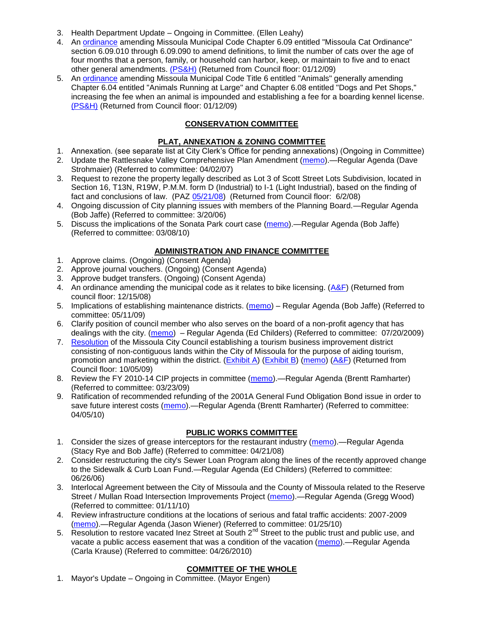- 3. Health Department Update Ongoing in Committee. (Ellen Leahy)
- 4. An [ordinance](ftp://ftp.ci.missoula.mt.us/Packets/Council/2008/2008-12-15/2008CatOrdinanceAmendment%5B1%5D.pdf) amending Missoula Municipal Code Chapter 6.09 entitled "Missoula Cat Ordinance" section 6.09.010 through 6.09.090 to amend definitions, to limit the number of cats over the age of four months that a person, family, or household can harbor, keep, or maintain to five and to enact other general amendments. [\(PS&H\)](ftp://ftp.ci.missoula.mt.us/Packets/Council/2008/2008-12-15/081210psh.pdf) (Returned from Council floor: 01/12/09)
- 5. An [ordinance](ftp://ftp.ci.missoula.mt.us/Packets/Council/2008/2008-12-15/DogOrdinance--PSHrevisions.pdf) amending Missoula Municipal Code Title 6 entitled "Animals" generally amending Chapter 6.04 entitled "Animals Running at Large" and Chapter 6.08 entitled "Dogs and Pet Shops," increasing the fee when an animal is impounded and establishing a fee for a boarding kennel license. [\(PS&H\)](ftp://ftp.ci.missoula.mt.us/Packets/Council/2008/2008-12-15/081210psh.pdf) (Returned from Council floor: 01/12/09)

# **CONSERVATION COMMITTEE**

## **PLAT, ANNEXATION & ZONING COMMITTEE**

- 1. Annexation. (see separate list at City Clerk's Office for pending annexations) (Ongoing in Committee)
- 2. Update the Rattlesnake Valley Comprehensive Plan Amendment [\(memo\)](ftp://ftp.ci.missoula.mt.us/Packets/Council/2007/2007-04-02/Referrals/Rattlesnake_Plan_Update_referral.pdf).—Regular Agenda (Dave Strohmaier) (Referred to committee: 04/02/07)
- 3. Request to rezone the property legally described as Lot 3 of Scott Street Lots Subdivision, located in Section 16, T13N, R19W, P.M.M. form D (Industrial) to I-1 (Light Industrial), based on the finding of fact and conclusions of law. (PAZ [05/21/08\)](ftp://ftp.ci.missoula.mt.us/Packets/Council/2008/2008-06-02/080521paz.pdf) (Returned from Council floor: 6/2/08)
- 4. Ongoing discussion of City planning issues with members of the Planning Board.—Regular Agenda (Bob Jaffe) (Referred to committee: 3/20/06)
- 5. Discuss the implications of the Sonata Park court case [\(memo\)](http://www.ci.missoula.mt.us/DocumentView.aspx?DID=3268).—Regular Agenda (Bob Jaffe) (Referred to committee: 03/08/10)

# **ADMINISTRATION AND FINANCE COMMITTEE**

- 1. Approve claims. (Ongoing) (Consent Agenda)
- 2. Approve journal vouchers. (Ongoing) (Consent Agenda)
- 3. Approve budget transfers. (Ongoing) (Consent Agenda)
- 4. An ordinance amending the municipal code as it relates to bike licensing. [\(A&F\)](ftp://ftp.ci.missoula.mt.us/Packets/Council/2008/2008-12-15/081210af.pdf) (Returned from council floor: 12/15/08)
- 5. Implications of establishing maintenance districts. [\(memo\)](ftp://ftp.ci.missoula.mt.us/Packets/Council/2009/2009-05-11/Referrals/MaintenanceDistricts.pdf) Regular Agenda (Bob Jaffe) (Referred to committee: 05/11/09)
- 6. Clarify position of council member who also serves on the board of a non-profit agency that has dealings with the city. [\(memo\)](http://www.ci.missoula.mt.us/DocumentView.aspx?DID=1840) – Regular Agenda (Ed Childers) (Referred to committee: 07/20/2009)
- 7. [Resolution](http://www.ci.missoula.mt.us/DocumentView.aspx?DID=2373) of the Missoula City Council establishing a tourism business improvement district consisting of non-contiguous lands within the City of Missoula for the purpose of aiding tourism, promotion and marketing within the district. [\(Exhibit A\)](http://www.ci.missoula.mt.us/DocumentView.aspx?DID=2090) [\(Exhibit B\)](http://www.ci.missoula.mt.us/DocumentView.aspx?DID=2374) [\(memo\)](http://www.ci.missoula.mt.us/DocumentView.aspx?DID=2097) [\(A&F\)](http://www.ci.missoula.mt.us/Archive.aspx?ADID=1172) (Returned from Council floor: 10/05/09)
- 8. Review the FY 2010-14 CIP projects in committee [\(memo\)](ftp://ftp.ci.missoula.mt.us/Packets/Council/2009/2009-03-23/Referrals/RefAFCIPBudgetReviewFY2010-2014CIP.pdf).—Regular Agenda (Brentt Ramharter) (Referred to committee: 03/23/09)
- 9. Ratification of recommended refunding of the 2001A General Fund Obligation Bond issue in order to save future interest costs [\(memo\)](http://www.ci.missoula.mt.us/DocumentView.aspx?DID=3446).—Regular Agenda (Brentt Ramharter) (Referred to committee: 04/05/10)

# **PUBLIC WORKS COMMITTEE**

- 1. Consider the sizes of grease interceptors for the restaurant industry [\(memo\)](ftp://ftp.ci.missoula.mt.us/Packets/Council/2008/2008-04-21/Referrals/Industrial_waste_restaurants.pdf).—Regular Agenda (Stacy Rye and Bob Jaffe) (Referred to committee: 04/21/08)
- 2. Consider restructuring the city's Sewer Loan Program along the lines of the recently approved change to the Sidewalk & Curb Loan Fund.—Regular Agenda (Ed Childers) (Referred to committee: 06/26/06)
- 3. Interlocal Agreement between the City of Missoula and the County of Missoula related to the Reserve Street / Mullan Road Intersection Improvements Project [\(memo\)](http://www.ci.missoula.mt.us/DocumentView.aspx?DID=2959).—Regular Agenda (Gregg Wood) (Referred to committee: 01/11/10)
- 4. Review infrastructure conditions at the locations of serious and fatal traffic accidents: 2007-2009 [\(memo\)](http://www.ci.missoula.mt.us/DocumentView.aspx?DID=3031).—Regular Agenda (Jason Wiener) (Referred to committee: 01/25/10)
- 5. Resolution to restore vacated Inez Street at South 2<sup>nd</sup> Street to the public trust and public use, and vacate a public access easement that was a condition of the vacation [\(memo\)](http://www.ci.missoula.mt.us/DocumentView.aspx?DID=3573).—Regular Agenda (Carla Krause) (Referred to committee: 04/26/2010)

# **COMMITTEE OF THE WHOLE**

1. Mayor's Update – Ongoing in Committee. (Mayor Engen)